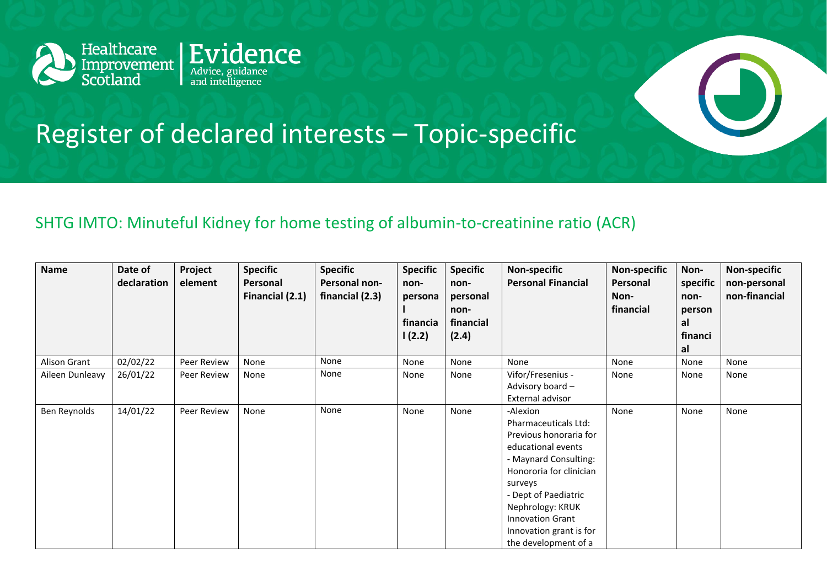



## SHTG IMTO: Minuteful Kidney for home testing of albumin-to-creatinine ratio (ACR)

| Name            | Date of<br>declaration | Project<br>element | <b>Specific</b><br>Personal<br>Financial (2.1) | <b>Specific</b><br>Personal non-<br>financial (2.3) | <b>Specific</b><br>non-<br>persona<br>financia<br>1(2.2) | <b>Specific</b><br>non-<br>personal<br>non-<br>financial<br>(2.4) | <b>Non-specific</b><br><b>Personal Financial</b>                                                                                                                                                                                                                          | <b>Non-specific</b><br>Personal<br>Non-<br>financial | Non-<br>specific<br>non-<br>person<br>al<br>financi<br>al | <b>Non-specific</b><br>non-personal<br>non-financial |
|-----------------|------------------------|--------------------|------------------------------------------------|-----------------------------------------------------|----------------------------------------------------------|-------------------------------------------------------------------|---------------------------------------------------------------------------------------------------------------------------------------------------------------------------------------------------------------------------------------------------------------------------|------------------------------------------------------|-----------------------------------------------------------|------------------------------------------------------|
| Alison Grant    | 02/02/22               | Peer Review        | None                                           | None                                                | None                                                     | None                                                              | None                                                                                                                                                                                                                                                                      | None                                                 | None                                                      | None                                                 |
| Aileen Dunleavy | 26/01/22               | Peer Review        | None                                           | None                                                | None                                                     | None                                                              | Vifor/Fresenius -<br>Advisory board -<br>External advisor                                                                                                                                                                                                                 | None                                                 | None                                                      | None                                                 |
| Ben Reynolds    | 14/01/22               | Peer Review        | None                                           | None                                                | None                                                     | None                                                              | -Alexion<br>Pharmaceuticals Ltd:<br>Previous honoraria for<br>educational events<br>- Maynard Consulting:<br>Honororia for clinician<br>surveys<br>- Dept of Paediatric<br>Nephrology: KRUK<br><b>Innovation Grant</b><br>Innovation grant is for<br>the development of a | None                                                 | None                                                      | None                                                 |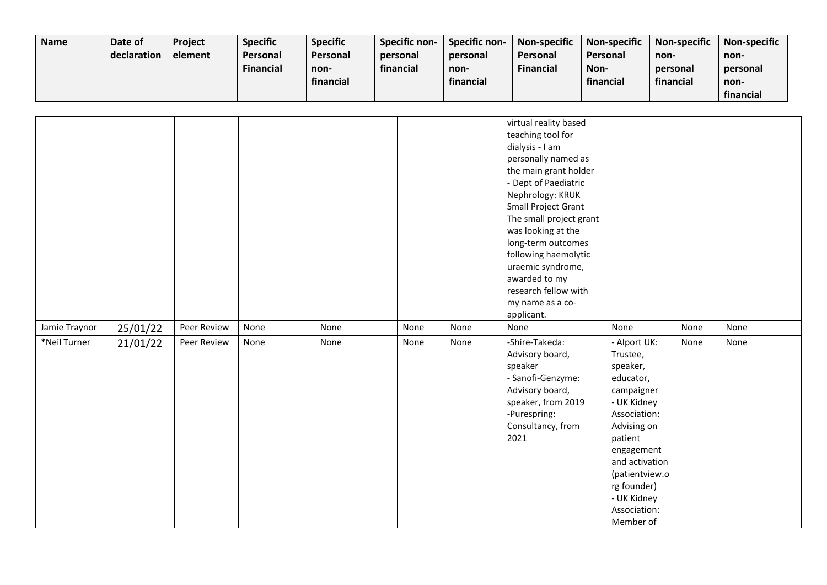| <b>Name</b> | Date of     | <b>Project</b> | <b>Specific</b>  | <b>Specific</b> | <b>Specific non-</b> | Specific non- | Non-specific     | <b>Non-specific</b> | Non-specific | <b>Non-specific</b> |
|-------------|-------------|----------------|------------------|-----------------|----------------------|---------------|------------------|---------------------|--------------|---------------------|
|             | declaration | element        | <b>Personal</b>  | <b>Personal</b> | personal             | personal      | Personal         | Personal            | non-         | non-                |
|             |             |                | <b>Financial</b> | non-            | financial            | non-          | <b>Financial</b> | Non-                | personal     | personal            |
|             |             |                |                  | financial       |                      | financial     |                  | financial           | financial    | non-                |
|             |             |                |                  |                 |                      |               |                  |                     |              | financial           |

| Jamie Traynor | 25/01/22 | Peer Review | None | None | None | None | virtual reality based<br>teaching tool for<br>dialysis - I am<br>personally named as<br>the main grant holder<br>- Dept of Paediatric<br>Nephrology: KRUK<br>Small Project Grant<br>The small project grant<br>was looking at the<br>long-term outcomes<br>following haemolytic<br>uraemic syndrome,<br>awarded to my<br>research fellow with<br>my name as a co-<br>applicant.<br>None | None                                                                                                                                                                                                                                  | None | None |
|---------------|----------|-------------|------|------|------|------|-----------------------------------------------------------------------------------------------------------------------------------------------------------------------------------------------------------------------------------------------------------------------------------------------------------------------------------------------------------------------------------------|---------------------------------------------------------------------------------------------------------------------------------------------------------------------------------------------------------------------------------------|------|------|
| *Neil Turner  | 21/01/22 | Peer Review | None | None | None | None | -Shire-Takeda:<br>Advisory board,<br>speaker<br>- Sanofi-Genzyme:<br>Advisory board,<br>speaker, from 2019<br>-Purespring:<br>Consultancy, from<br>2021                                                                                                                                                                                                                                 | - Alport UK:<br>Trustee,<br>speaker,<br>educator,<br>campaigner<br>- UK Kidney<br>Association:<br>Advising on<br>patient<br>engagement<br>and activation<br>(patientview.o<br>rg founder)<br>- UK Kidney<br>Association:<br>Member of | None | None |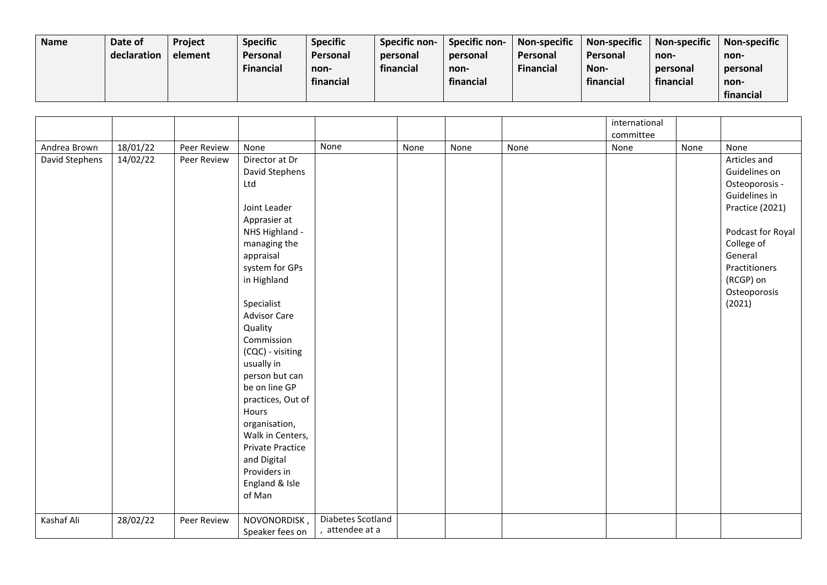| <b>Name</b> | Date of     | <b>Project</b> | <b>Specific</b> | <b>Specific</b> | Specific non- | <b>Specific non-</b> | <b>Non-specific</b> | Non-specific | <b>Non-specific</b> | <b>Non-specific</b> |
|-------------|-------------|----------------|-----------------|-----------------|---------------|----------------------|---------------------|--------------|---------------------|---------------------|
|             | declaration | element        | Personal        | <b>Personal</b> | personal      | personal             | Personal            | Personal     | non-                | non-                |
|             |             |                | Financial       | non-            | financial     | non-                 | <b>Financial</b>    | Non-         | personal            | personal            |
|             |             |                |                 | financial       |               | financial            |                     | financial    | financial           | non-                |
|             |             |                |                 |                 |               |                      |                     |              |                     | financial           |

|                |          |             |                                                                                                                                                                                                                                                                                                                                                                                                                                              |                                      |      |      |      | international |      |                                                                                                                                                                                           |
|----------------|----------|-------------|----------------------------------------------------------------------------------------------------------------------------------------------------------------------------------------------------------------------------------------------------------------------------------------------------------------------------------------------------------------------------------------------------------------------------------------------|--------------------------------------|------|------|------|---------------|------|-------------------------------------------------------------------------------------------------------------------------------------------------------------------------------------------|
|                |          |             |                                                                                                                                                                                                                                                                                                                                                                                                                                              |                                      |      |      |      | committee     |      |                                                                                                                                                                                           |
| Andrea Brown   | 18/01/22 | Peer Review | None                                                                                                                                                                                                                                                                                                                                                                                                                                         | None                                 | None | None | None | None          | None | None                                                                                                                                                                                      |
| David Stephens | 14/02/22 | Peer Review | Director at Dr<br>David Stephens<br>Ltd<br>Joint Leader<br>Apprasier at<br>NHS Highland -<br>managing the<br>appraisal<br>system for GPs<br>in Highland<br>Specialist<br><b>Advisor Care</b><br>Quality<br>Commission<br>(CQC) - visiting<br>usually in<br>person but can<br>be on line GP<br>practices, Out of<br>Hours<br>organisation,<br>Walk in Centers,<br>Private Practice<br>and Digital<br>Providers in<br>England & Isle<br>of Man |                                      |      |      |      |               |      | Articles and<br>Guidelines on<br>Osteoporosis -<br>Guidelines in<br>Practice (2021)<br>Podcast for Royal<br>College of<br>General<br>Practitioners<br>(RCGP) on<br>Osteoporosis<br>(2021) |
| Kashaf Ali     | 28/02/22 | Peer Review | NOVONORDISK,<br>Speaker fees on                                                                                                                                                                                                                                                                                                                                                                                                              | Diabetes Scotland<br>, attendee at a |      |      |      |               |      |                                                                                                                                                                                           |